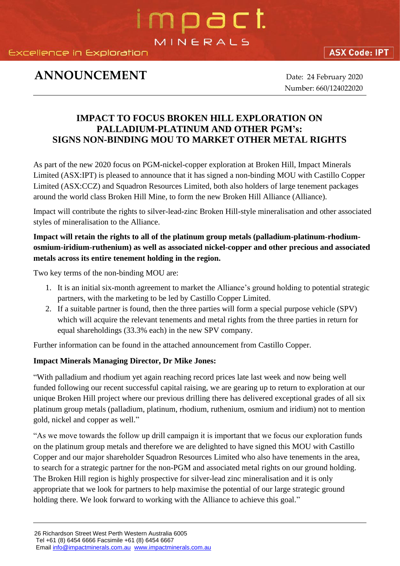Excellence in Exploration

### **ASX Code: IPT**

# **ANNOUNCEMENT** Date: 24 February 2020

Number: 660/124022020

## **IMPACT TO FOCUS BROKEN HILL EXPLORATION ON PALLADIUM-PLATINUM AND OTHER PGM's: SIGNS NON-BINDING MOU TO MARKET OTHER METAL RIGHTS**

mpact

MINERALS

As part of the new 2020 focus on PGM-nickel-copper exploration at Broken Hill, Impact Minerals Limited (ASX:IPT) is pleased to announce that it has signed a non-binding MOU with Castillo Copper Limited (ASX:CCZ) and Squadron Resources Limited, both also holders of large tenement packages around the world class Broken Hill Mine, to form the new Broken Hill Alliance (Alliance).

Impact will contribute the rights to silver-lead-zinc Broken Hill-style mineralisation and other associated styles of mineralisation to the Alliance.

#### **Impact will retain the rights to all of the platinum group metals (palladium-platinum-rhodiumosmium-iridium-ruthenium) as well as associated nickel-copper and other precious and associated metals across its entire tenement holding in the region.**

Two key terms of the non-binding MOU are:

- 1. It is an initial six-month agreement to market the Alliance's ground holding to potential strategic partners, with the marketing to be led by Castillo Copper Limited.
- 2. If a suitable partner is found, then the three parties will form a special purpose vehicle (SPV) which will acquire the relevant tenements and metal rights from the three parties in return for equal shareholdings (33.3% each) in the new SPV company.

Further information can be found in the attached announcement from Castillo Copper.

#### **Impact Minerals Managing Director, Dr Mike Jones:**

"With palladium and rhodium yet again reaching record prices late last week and now being well funded following our recent successful capital raising, we are gearing up to return to exploration at our unique Broken Hill project where our previous drilling there has delivered exceptional grades of all six platinum group metals (palladium, platinum, rhodium, ruthenium, osmium and iridium) not to mention gold, nickel and copper as well."

"As we move towards the follow up drill campaign it is important that we focus our exploration funds on the platinum group metals and therefore we are delighted to have signed this MOU with Castillo Copper and our major shareholder Squadron Resources Limited who also have tenements in the area, to search for a strategic partner for the non-PGM and associated metal rights on our ground holding. The Broken Hill region is highly prospective for silver-lead zinc mineralisation and it is only appropriate that we look for partners to help maximise the potential of our large strategic ground holding there. We look forward to working with the Alliance to achieve this goal."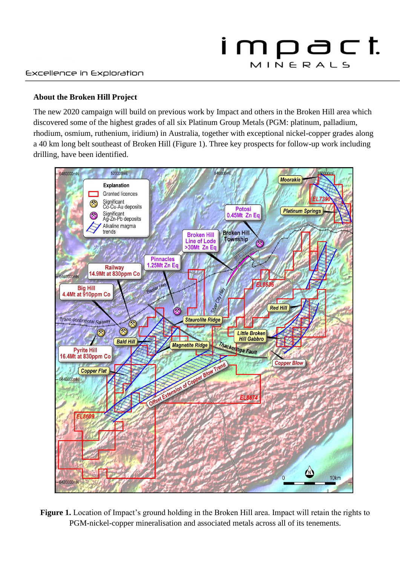#### **About the Broken Hill Project**

The new 2020 campaign will build on previous work by Impact and others in the Broken Hill area which discovered some of the highest grades of all six Platinum Group Metals (PGM: platinum, palladium, rhodium, osmium, ruthenium, iridium) in Australia, together with exceptional nickel-copper grades along a 40 km long belt southeast of Broken Hill (Figure 1). Three key prospects for follow-up work including drilling, have been identified.



**Figure 1.** Location of Impact's ground holding in the Broken Hill area. Impact will retain the rights to PGM-nickel-copper mineralisation and associated metals across all of its tenements.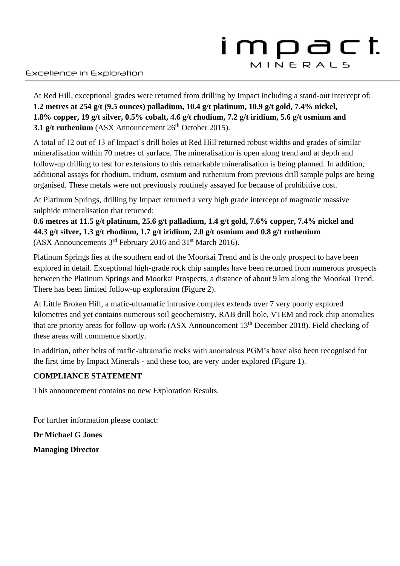# impact MINERALS

At Red Hill, exceptional grades were returned from drilling by Impact including a stand-out intercept of: **1.2 metres at 254 g/t (9.5 ounces) palladium, 10.4 g/t platinum, 10.9 g/t gold, 7.4% nickel, 1.8% copper, 19 g/t silver, 0.5% cobalt, 4.6 g/t rhodium, 7.2 g/t iridium, 5.6 g/t osmium and 3.1 g/t ruthenium** (ASX Announcement 26<sup>th</sup> October 2015).

A total of 12 out of 13 of Impact's drill holes at Red Hill returned robust widths and grades of similar mineralisation within 70 metres of surface. The mineralisation is open along trend and at depth and follow-up drilling to test for extensions to this remarkable mineralisation is being planned. In addition, additional assays for rhodium, iridium, osmium and ruthenium from previous drill sample pulps are being organised. These metals were not previously routinely assayed for because of prohibitive cost.

At Platinum Springs, drilling by Impact returned a very high grade intercept of magmatic massive sulphide mineralisation that returned:

**0.6 metres at 11.5 g/t platinum, 25.6 g/t palladium, 1.4 g/t gold, 7.6% copper, 7.4% nickel and 44.3 g/t silver, 1.3 g/t rhodium, 1.7 g/t iridium, 2.0 g/t osmium and 0.8 g/t ruthenium** (ASX Announcements 3rd February 2016 and 31st March 2016).

Platinum Springs lies at the southern end of the Moorkai Trend and is the only prospect to have been explored in detail. Exceptional high-grade rock chip samples have been returned from numerous prospects between the Platinum Springs and Moorkai Prospects, a distance of about 9 km along the Moorkai Trend. There has been limited follow-up exploration (Figure 2).

At Little Broken Hill, a mafic-ultramafic intrusive complex extends over 7 very poorly explored kilometres and yet contains numerous soil geochemistry, RAB drill hole, VTEM and rock chip anomalies that are priority areas for follow-up work (ASX Announcement 13<sup>th</sup> December 2018). Field checking of these areas will commence shortly.

In addition, other belts of mafic-ultramafic rocks with anomalous PGM's have also been recognised for the first time by Impact Minerals - and these too, are very under explored (Figure 1).

#### **COMPLIANCE STATEMENT**

This announcement contains no new Exploration Results.

For further information please contact:

**Dr Michael G Jones**

**Managing Director**